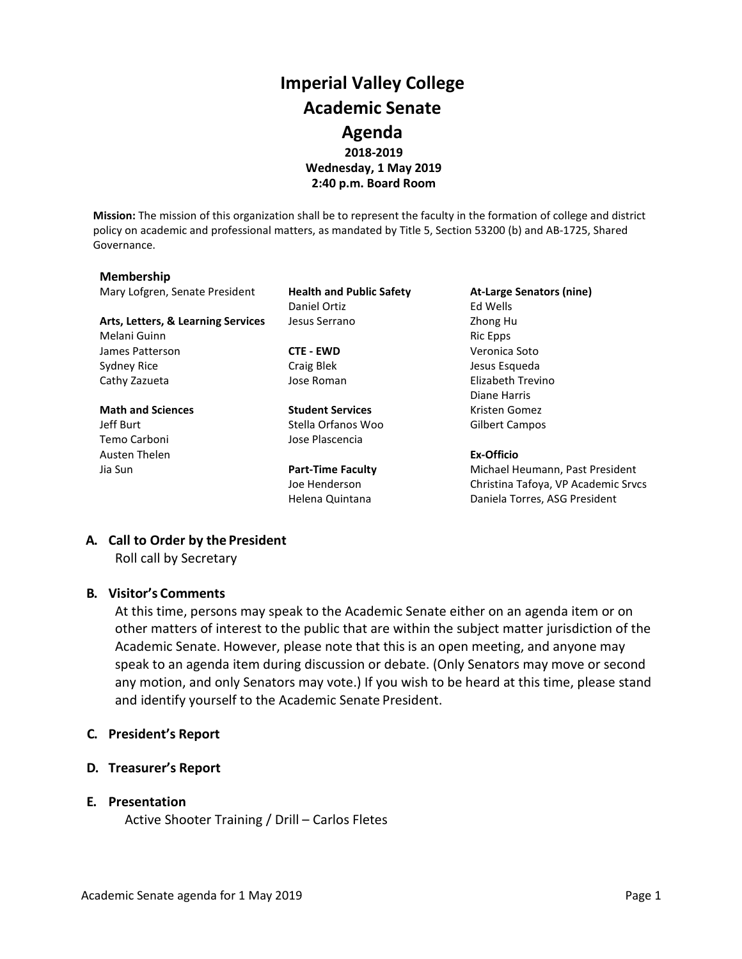## **Imperial Valley College Academic Senate Agenda 2018-2019 Wednesday, 1 May 2019 2:40 p.m. Board Room**

**Mission:** The mission of this organization shall be to represent the faculty in the formation of college and district policy on academic and professional matters, as mandated by Title 5, Section 53200 (b) and AB-1725, Shared Governance.

#### **Membership**

Mary Lofgren, Senate President **Health and Public Safety At-Large Senators (nine)**

Arts, Letters, & Learning Services Jesus Serrano **Zhong Human** Zhong Human Zhong Human Zhong Human Zhong Human Zhong Human Zhong Human Zhong Human Zhong Human Zhong Human Zhong Human Zhong Human Zhong Human Zhong Human Zho Melani Guinn **Ric Epps** and Ric Epps **Ric Epps Ric Epps** James Patterson **CTE - EWD** Veronica Soto Sydney Rice **Craig Blek** Craig Blek Jesus Esqueda Cathy Zazueta Jose Roman Elizabeth Trevino

# Temo Carboni Jose Plascencia Austen Thelen **Ex-Officio**

Daniel Ortiz **Ed Wells** 

**Math and Sciences Student Services** Kristen Gomez Jeff Burt **Stella Orfanos Woo** Gilbert Campos

Diane Harris

Jia Sun **Part-Time Faculty** Michael Heumann, Past President Joe Henderson Christina Tafoya, VP Academic Srvcs Helena Quintana **Daniela Torres, ASG President** 

### **A. Call to Order by the President**

Roll call by Secretary

#### **B. Visitor's Comments**

At this time, persons may speak to the Academic Senate either on an agenda item or on other matters of interest to the public that are within the subject matter jurisdiction of the Academic Senate. However, please note that this is an open meeting, and anyone may speak to an agenda item during discussion or debate. (Only Senators may move or second any motion, and only Senators may vote.) If you wish to be heard at this time, please stand and identify yourself to the Academic Senate President.

#### **C. President's Report**

**D. Treasurer's Report**

#### **E. Presentation**

Active Shooter Training / Drill – Carlos Fletes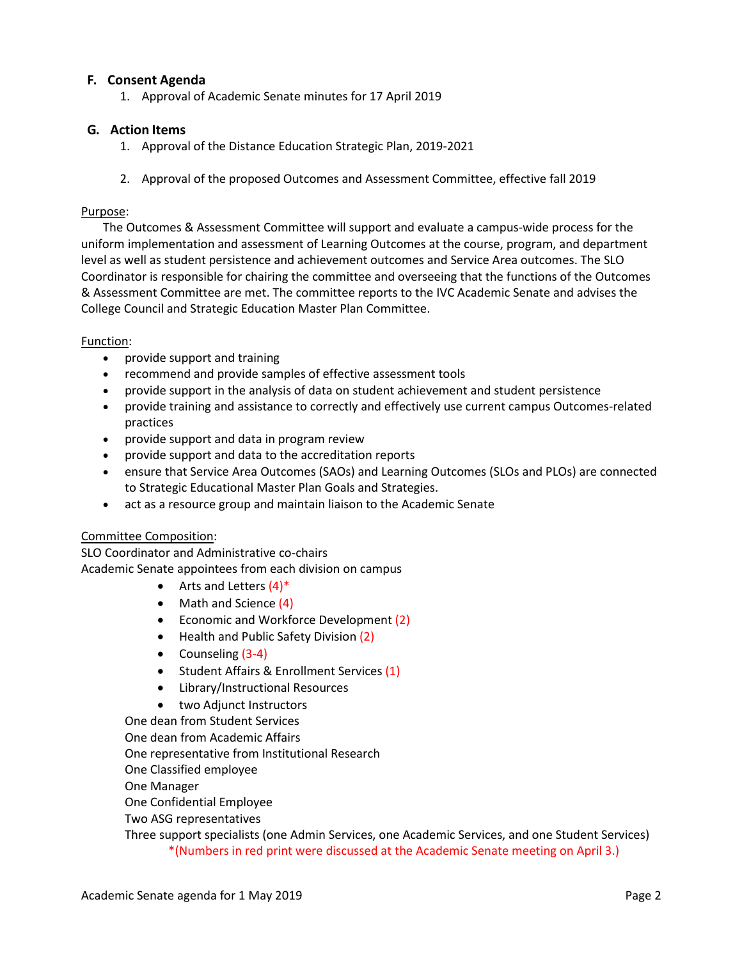### **F. Consent Agenda**

1. Approval of Academic Senate minutes for 17 April 2019

#### **G. Action Items**

- 1. Approval of the Distance Education Strategic Plan, 2019-2021
- 2. Approval of the proposed Outcomes and Assessment Committee, effective fall 2019

#### Purpose:

The Outcomes & Assessment Committee will support and evaluate a campus-wide process for the uniform implementation and assessment of Learning Outcomes at the course, program, and department level as well as student persistence and achievement outcomes and Service Area outcomes. The SLO Coordinator is responsible for chairing the committee and overseeing that the functions of the Outcomes & Assessment Committee are met. The committee reports to the IVC Academic Senate and advises the College Council and Strategic Education Master Plan Committee.

#### Function:

- provide support and training
- recommend and provide samples of effective assessment tools
- provide support in the analysis of data on student achievement and student persistence
- provide training and assistance to correctly and effectively use current campus Outcomes-related practices
- provide support and data in program review
- provide support and data to the accreditation reports
- ensure that Service Area Outcomes (SAOs) and Learning Outcomes (SLOs and PLOs) are connected to Strategic Educational Master Plan Goals and Strategies.
- act as a resource group and maintain liaison to the Academic Senate

#### Committee Composition:

SLO Coordinator and Administrative co-chairs Academic Senate appointees from each division on campus

- Arts and Letters  $(4)^*$
- Math and Science (4)
- Economic and Workforce Development (2)
- Health and Public Safety Division (2)
- Counseling (3-4)
- Student Affairs & Enrollment Services (1)
- Library/Instructional Resources
- two Adjunct Instructors

One dean from Student Services

One dean from Academic Affairs

One representative from Institutional Research

One Classified employee

One Manager

One Confidential Employee

Two ASG representatives

Three support specialists (one Admin Services, one Academic Services, and one Student Services) \*(Numbers in red print were discussed at the Academic Senate meeting on April 3.)